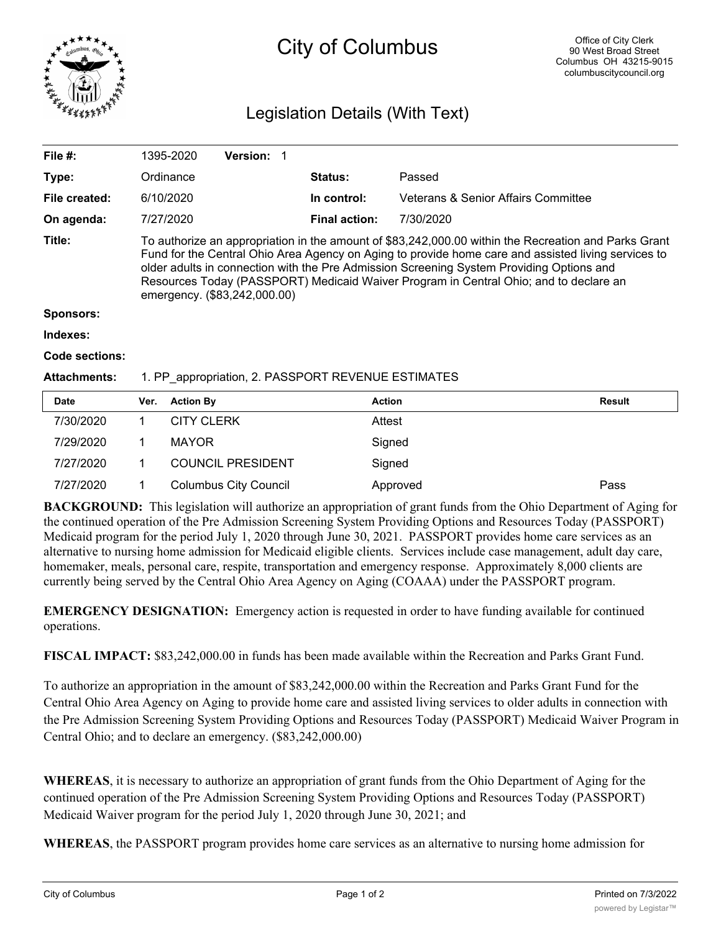

## City of Columbus

## Legislation Details (With Text)

| File $#$ :          |                                                                                                                                                                                                                                                                                                                                                                                                                                  | 1395-2020         | <b>Version: 1</b> |  |                      |                                     |               |
|---------------------|----------------------------------------------------------------------------------------------------------------------------------------------------------------------------------------------------------------------------------------------------------------------------------------------------------------------------------------------------------------------------------------------------------------------------------|-------------------|-------------------|--|----------------------|-------------------------------------|---------------|
| Type:               |                                                                                                                                                                                                                                                                                                                                                                                                                                  | Ordinance         |                   |  | Status:              | Passed                              |               |
| File created:       |                                                                                                                                                                                                                                                                                                                                                                                                                                  | 6/10/2020         |                   |  | In control:          | Veterans & Senior Affairs Committee |               |
| On agenda:          |                                                                                                                                                                                                                                                                                                                                                                                                                                  | 7/27/2020         |                   |  | <b>Final action:</b> | 7/30/2020                           |               |
| Title:              | To authorize an appropriation in the amount of \$83,242,000.00 within the Recreation and Parks Grant<br>Fund for the Central Ohio Area Agency on Aging to provide home care and assisted living services to<br>older adults in connection with the Pre Admission Screening System Providing Options and<br>Resources Today (PASSPORT) Medicaid Waiver Program in Central Ohio; and to declare an<br>emergency. (\$83,242,000.00) |                   |                   |  |                      |                                     |               |
| <b>Sponsors:</b>    |                                                                                                                                                                                                                                                                                                                                                                                                                                  |                   |                   |  |                      |                                     |               |
| Indexes:            |                                                                                                                                                                                                                                                                                                                                                                                                                                  |                   |                   |  |                      |                                     |               |
| Code sections:      |                                                                                                                                                                                                                                                                                                                                                                                                                                  |                   |                   |  |                      |                                     |               |
| <b>Attachments:</b> | 1. PP appropriation, 2. PASSPORT REVENUE ESTIMATES                                                                                                                                                                                                                                                                                                                                                                               |                   |                   |  |                      |                                     |               |
| <b>Date</b>         | Ver.                                                                                                                                                                                                                                                                                                                                                                                                                             | <b>Action By</b>  |                   |  | <b>Action</b>        |                                     | <b>Result</b> |
| 7/30/2020           | 1                                                                                                                                                                                                                                                                                                                                                                                                                                | <b>CITY CLERK</b> |                   |  | Attest               |                                     |               |
| 7/29/2020           | 1                                                                                                                                                                                                                                                                                                                                                                                                                                | <b>MAYOR</b>      |                   |  | Signed               |                                     |               |

**BACKGROUND:** This legislation will authorize an appropriation of grant funds from the Ohio Department of Aging for the continued operation of the Pre Admission Screening System Providing Options and Resources Today (PASSPORT) Medicaid program for the period July 1, 2020 through June 30, 2021. PASSPORT provides home care services as an alternative to nursing home admission for Medicaid eligible clients. Services include case management, adult day care, homemaker, meals, personal care, respite, transportation and emergency response. Approximately 8,000 clients are currently being served by the Central Ohio Area Agency on Aging (COAAA) under the PASSPORT program.

**EMERGENCY DESIGNATION:** Emergency action is requested in order to have funding available for continued operations.

7/27/2020 1 Columbus City Council Approved Pass

7/27/2020 1 COUNCIL PRESIDENT Signed

**FISCAL IMPACT:** \$83,242,000.00 in funds has been made available within the Recreation and Parks Grant Fund.

To authorize an appropriation in the amount of \$83,242,000.00 within the Recreation and Parks Grant Fund for the Central Ohio Area Agency on Aging to provide home care and assisted living services to older adults in connection with the Pre Admission Screening System Providing Options and Resources Today (PASSPORT) Medicaid Waiver Program in Central Ohio; and to declare an emergency. (\$83,242,000.00)

**WHEREAS**, it is necessary to authorize an appropriation of grant funds from the Ohio Department of Aging for the continued operation of the Pre Admission Screening System Providing Options and Resources Today (PASSPORT) Medicaid Waiver program for the period July 1, 2020 through June 30, 2021; and

**WHEREAS**, the PASSPORT program provides home care services as an alternative to nursing home admission for